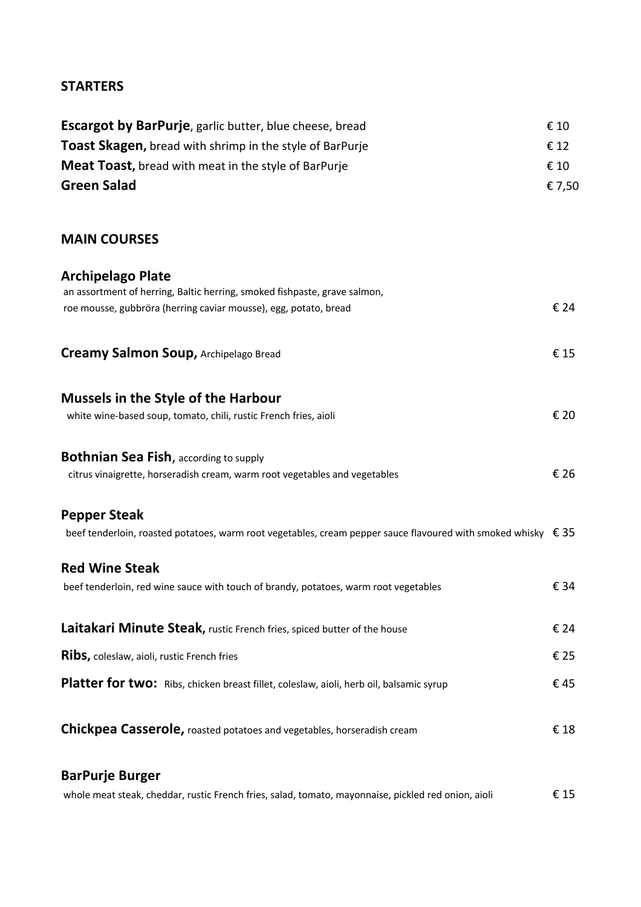## **STARTERS**

| <b>Escargot by BarPurje</b> , garlic butter, blue cheese, bread                                                             | € 10   |
|-----------------------------------------------------------------------------------------------------------------------------|--------|
| <b>Toast Skagen, bread with shrimp in the style of BarPurje</b>                                                             | € 12   |
| <b>Meat Toast, bread with meat in the style of BarPurje</b>                                                                 | € 10   |
| <b>Green Salad</b>                                                                                                          | € 7,50 |
| <b>MAIN COURSES</b>                                                                                                         |        |
| <b>Archipelago Plate</b><br>an assortment of herring, Baltic herring, smoked fishpaste, grave salmon,                       |        |
| roe mousse, gubbröra (herring caviar mousse), egg, potato, bread                                                            | € 24   |
| <b>Creamy Salmon Soup, Archipelago Bread</b>                                                                                | €15    |
| <b>Mussels in the Style of the Harbour</b>                                                                                  |        |
| white wine-based soup, tomato, chili, rustic French fries, aioli                                                            | € 20   |
| <b>Bothnian Sea Fish, according to supply</b><br>citrus vinaigrette, horseradish cream, warm root vegetables and vegetables | € 26   |
| <b>Pepper Steak</b>                                                                                                         |        |
| beef tenderloin, roasted potatoes, warm root vegetables, cream pepper sauce flavoured with smoked whisky $\epsilon$ 35      |        |
| <b>Red Wine Steak</b><br>beef tenderloin, red wine sauce with touch of brandy, potatoes, warm root vegetables               | € 34   |
| Laitakari Minute Steak, rustic French fries, spiced butter of the house                                                     | € 24   |
| Ribs, coleslaw, aioli, rustic French fries                                                                                  | € 25   |
| Platter for two: Ribs, chicken breast fillet, coleslaw, aioli, herb oil, balsamic syrup                                     | €45    |
| <b>Chickpea Casserole, roasted potatoes and vegetables, horseradish cream</b>                                               | €18    |
| <b>BarPurje Burger</b>                                                                                                      |        |
| whole meat steak, cheddar, rustic French fries, salad, tomato, mayonnaise, pickled red onion, aioli                         | € 15   |